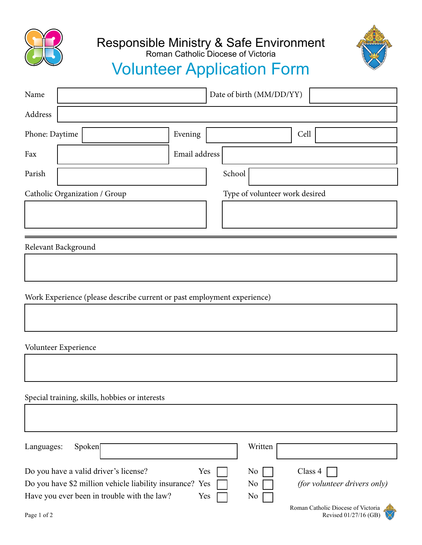

## Responsible Ministry & Safe Environment



## Volunteer Application Form Roman Catholic Diocese of Victoria

| Name           | Date of birth (MM/DD/YY)                                                                                                                         |               |        |                                                    |                                                                               |
|----------------|--------------------------------------------------------------------------------------------------------------------------------------------------|---------------|--------|----------------------------------------------------|-------------------------------------------------------------------------------|
| Address        |                                                                                                                                                  |               |        |                                                    |                                                                               |
| Phone: Daytime |                                                                                                                                                  | Evening       |        |                                                    | Cell                                                                          |
| Fax            |                                                                                                                                                  | Email address |        |                                                    |                                                                               |
| Parish         |                                                                                                                                                  |               | School |                                                    |                                                                               |
|                | Catholic Organization / Group                                                                                                                    |               |        | Type of volunteer work desired                     |                                                                               |
|                |                                                                                                                                                  |               |        |                                                    |                                                                               |
|                | Relevant Background                                                                                                                              |               |        |                                                    |                                                                               |
|                |                                                                                                                                                  |               |        |                                                    |                                                                               |
|                | Work Experience (please describe current or past employment experience)                                                                          |               |        |                                                    |                                                                               |
|                |                                                                                                                                                  |               |        |                                                    |                                                                               |
|                | Volunteer Experience                                                                                                                             |               |        |                                                    |                                                                               |
|                |                                                                                                                                                  |               |        |                                                    |                                                                               |
|                | Special training, skills, hobbies or interests                                                                                                   |               |        |                                                    |                                                                               |
|                |                                                                                                                                                  |               |        |                                                    |                                                                               |
| Languages:     | Spoken[                                                                                                                                          |               |        | Written                                            |                                                                               |
|                | Do you have a valid driver's license?<br>Do you have \$2 million vehicle liability insurance? Yes<br>Have you ever been in trouble with the law? | Yes<br>Yes    |        | N <sub>0</sub><br>N <sub>0</sub><br>N <sub>0</sub> | Class 4<br>(for volunteer drivers only)<br>Roman Catholic Diocese of Victoria |
| Page 1 of 2    |                                                                                                                                                  |               |        |                                                    | Revised 01/27/16 (GB)                                                         |